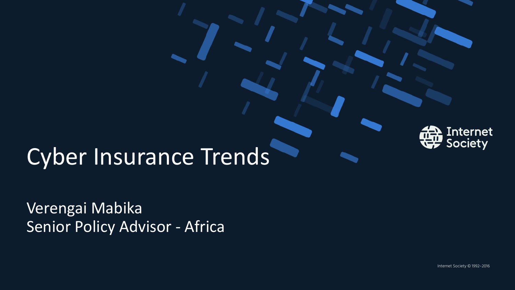# Cyber Insurance Trends

Verengai Mabika Senior Policy Advisor - Africa

Internet Society © 1992–2016

**Internet** 

Society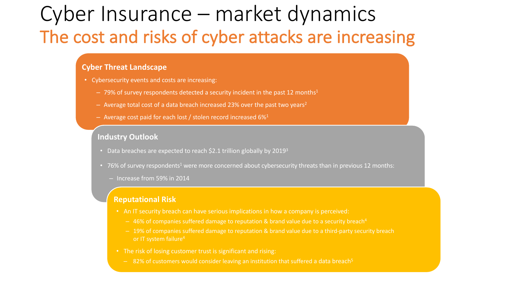### Cyber Insurance – market dynamics The cost and risks of cyber attacks are increasing

#### **Cyber Threat Landscape**

- Cybersecurity events and costs are increasing:
	- $-79\%$  of survey respondents detected a security incident in the past 12 months<sup>1</sup>
	- Average total cost of a data breach increased 23% over the past two years<sup>2</sup>
	- Average cost paid for each lost / stolen record increased  $6\%$ <sup>1</sup>

#### **Industry Outlook**

- Data breaches are expected to reach \$2.1 trillion globally by 2019<sup>3</sup>
- 76% of survey respondents<sup>1</sup> were more concerned about cybersecurity threats than in previous 12 months:
	- Increase from 59% in 2014

#### **Reputational Risk**

- An IT security breach can have serious implications in how a company is perceived:
	- $-46%$  of companies suffered damage to reputation & brand value due to a security breach<sup>4</sup>
	- $-19%$  of companies suffered damage to reputation & brand value due to a third-party security breach
- The risk of losing customer trust is significant and rising:
	- $-$  82% of customers would consider leaving an institution that suffered a data breach<sup>5</sup>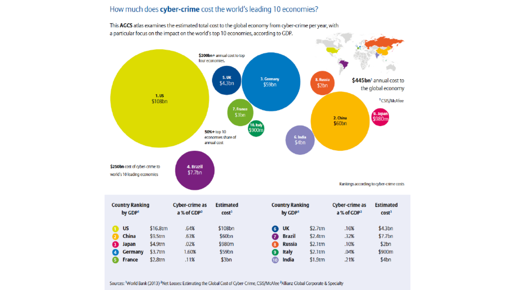#### How much does cyber-crime cost the world's leading 10 economies?

a particular focus on the impact on the world's top 10 economies, according to GDP. \$200bn+ annual cost to top four economies. **5.UK** 3. Germany 8. Russia \$445bn1 annual cost to \$4.3bn \$59bn  $$2bn$ the global economy  $1.05$ <sup>1</sup>CSIS/McAfee \$108bn 7. France 9. Japan<br>\$980m \$3bn 2. China \$60bn 10. taly<br>\$900m 50%+ top 10 economies share of 6. India  $$4bn$ annual cost \$250bn cost of cyber-crime to 4. Brazil  $$7.7<sub>bn</sub>$ world's 10 leading economies Rankings according to cyber-crime costs

This AGCS atlas examines the estimated total cost to the global economy from cyber-crime per year, with

| <b>Country Ranking</b><br>by GDP <sup>1</sup> |                      | Cyber-crime as<br>$a\%$ of GDP <sup>2</sup> | <b>Estimated</b><br>cost <sup>3</sup> | <b>Country Ranking</b><br>by GDP <sup>1</sup> |                     | Cyber-crime as<br>$a\%$ of GDP <sup>2</sup> | <b>Estimated</b><br>COSt <sup>3</sup> |
|-----------------------------------------------|----------------------|---------------------------------------------|---------------------------------------|-----------------------------------------------|---------------------|---------------------------------------------|---------------------------------------|
| US                                            | $$16.8$ tm           | .64%                                        | \$108bn                               | UK<br>6                                       | $$2.7$ tm           | .16%                                        | \$4.3 <sub>bn</sub>                   |
| China                                         | $$9.5$ trn           | .63%                                        | \$60bn                                | Brazil                                        | $$2.4$ tm           | .32%                                        | \$7.7 <sub>bn</sub>                   |
| Japan<br>э                                    | \$4.9trn             | .02%                                        | \$980m                                | Russia<br>8                                   | \$2.1 $tm$          | .10%                                        | \$2bn                                 |
| Germany<br>$\overline{4}$                     | \$3.7 $rm$           | 1.60%                                       | \$59bn                                | Italy<br>9                                    | \$2.1 $rm$          | .04%                                        | \$900m                                |
| <b>France</b><br>15                           | \$2.8 <sub>trn</sub> | .11%                                        | \$3bn                                 | India<br>10                                   | \$1.9 <sub>tm</sub> | .21%                                        | \$4bn                                 |

Sources: <sup>1</sup>World Bank (2013) <sup>2</sup>Net Losses: Estimating the Global Cost of Cyber-Crime, CSIS/McAfee <sup>3</sup>Allianz Global Corporate & Specialty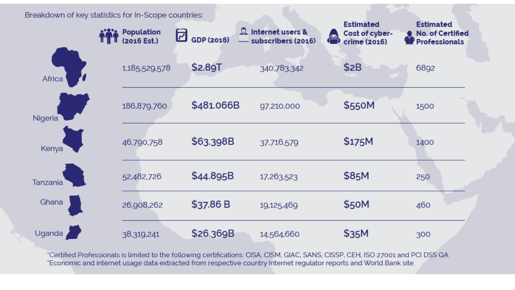Breakdown of key statistics for In-Scope countries:

|          | <b>Population</b><br>TTT<br>(2016 Est.) | 臼<br><b>GDP (2016)</b> | $\Omega$ Internet users &<br>subscribers (2016) | <b>Estimated</b><br>Cost of cyber-<br>Õ<br>crime (2016) | <b>Estimated</b><br>No. of Certified<br><b>Professionals</b> |
|----------|-----------------------------------------|------------------------|-------------------------------------------------|---------------------------------------------------------|--------------------------------------------------------------|
| Africa   | 1,185,529,578                           | \$2.89T                | 340.783.342                                     | \$2B                                                    | 6892                                                         |
| Nigeria  | 186,879,760                             | \$481.066B             | 97,210,000                                      | \$550M                                                  | 1500                                                         |
| Kenya    | 46.790.758                              | \$63.398B              | 37.716.579                                      | \$175M                                                  | 1400                                                         |
| Tanzania | 52,482,726                              | \$44.895B              | 17.263.523                                      | \$85M                                                   | 250                                                          |
| Ghana    | 26,908,262                              | \$37.86 B              | 19,125,469                                      | \$50M                                                   | 460                                                          |
| Uganda   | 38,319,241                              | \$26.369B              | 14,564,660                                      | \$35M                                                   | 300                                                          |

\*Certified Professionals is limited to the following certifications: CISA, CISM, GIAC, SANS, CISSP, CEH, ISO 27001 and PCI DSS QA "Economic and internet usage data extracted from respective country Internet regulator reports and World Bank site.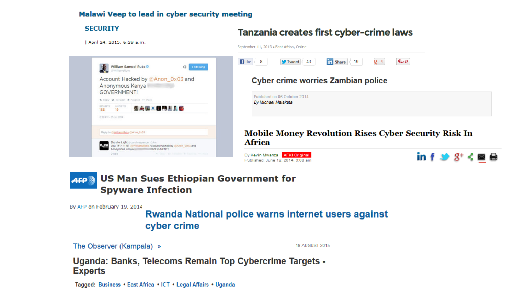#### Malawi Veep to lead in cyber security meeting

#### **SECURITY**

### Tanzania creates first cyber-crime laws



#### **US Man Sues Ethiopian Government for AFO Spyware Infection**

Bv AFP on February 19, 2014

### Rwanda National police warns internet users against cyber crime

The Observer (Kampala) »

**19 AUGUST 2015** 

Uganda: Banks, Telecoms Remain Top Cybercrime Targets -**Experts** 

Tagged: Business • East Africa • ICT • Legal Affairs • Uganda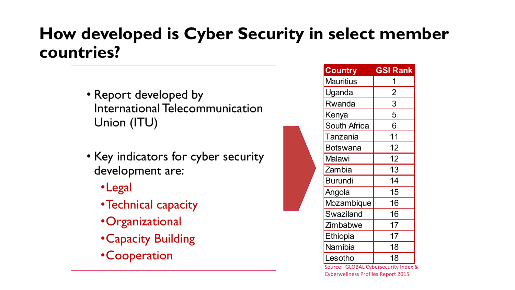### **How developed is Cyber Security in select member countries?**

- Report developed by International Telecommunication Union (ITU)
- Key indicators for cyber security development are:
	- •Legal
	- •Technical capacity
	- •Organizational
	- •Capacity Building
	- •Cooperation

| <b>Country</b>      | <b>GSI Rank</b> |
|---------------------|-----------------|
| <b>Mauritius</b>    | 1               |
| Uganda              | $\overline{2}$  |
| Rwanda              | 3               |
| Kenya               | 5               |
| <b>South Africa</b> | 6               |
| Tanzania            | 11              |
| Botswana            | 12              |
| Malawi              | 12              |
| Zambia              | 13              |
| <b>Burundi</b>      | 14              |
| Angola              | 15              |
| Mozambique          | 16              |
| <b>Swaziland</b>    | 16              |
| Zimbabwe            | 17              |
| Ethiopia            | 17              |
| Namibia             | 18              |
| Lesotho             | 18              |

Source: GLOBAL Cybersecurity Index & Cyberwellness Profiles Report 2015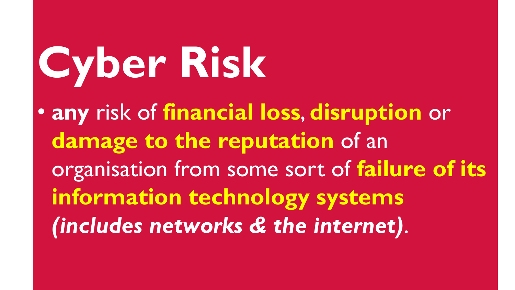INSK OF THE CHILE<br>Production of the Chile nage to the reputa **Cyber Risk** • **any** risk of **financial loss**, **disruption** or **damage to the reputation** of an organisation from some sort of **failure of its information technology systems**  *(includes networks & the internet)*.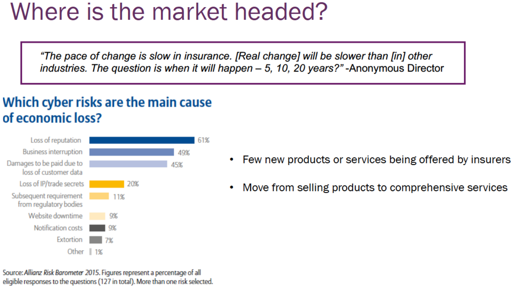## Where is the market headed?

"The pace of change is slow in insurance. [Real change] will be slower than [in] other industries. The question is when it will happen  $-$  5, 10, 20 years?" -Anonymous Director

### Which cyber risks are the main cause of economic loss?



- Few new products or services being offered by insurers
- Move from selling products to comprehensive services ۰

Source: Allianz Risk Barometer 2015. Figures represent a percentage of all eligible responses to the questions (127 in total). More than one risk selected.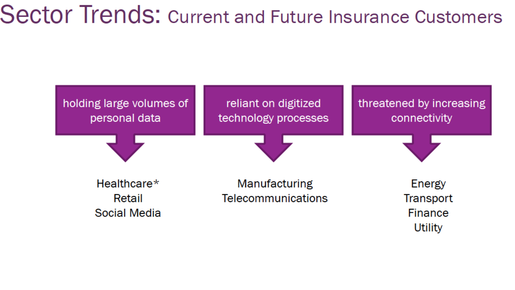# **Sector Trends: Current and Future Insurance Customers**

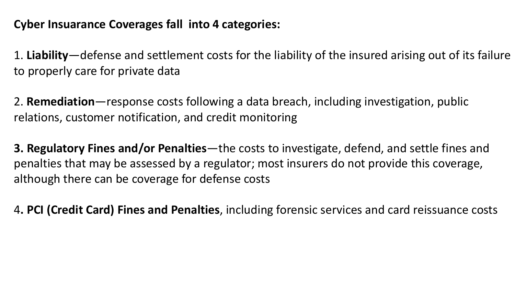### **Cyber Insuarance Coverages fall into 4 categories:**

1. Liability—defense and settlement costs for the liability of the insured arising out of its failure to properly care for private data

2. **Remediation**—response costs following a data breach, including investigation, public relations, customer notification, and credit monitoring

**3. Regulatory Fines and/or Penalties**—the costs to investigate, defend, and settle fines and penalties that may be assessed by a regulator; most insurers do not provide this coverage, although there can be coverage for defense costs

4. PCI (Credit Card) Fines and Penalties, including forensic services and card reissuance costs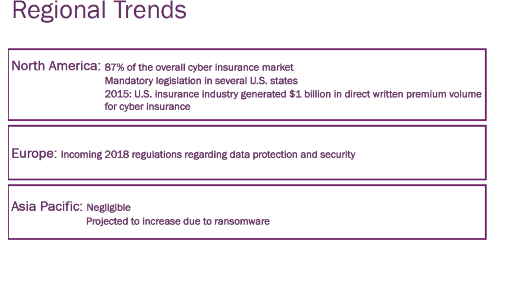## **Regional Trends**

North America: 87% of the overall cyber insurance market Mandatory legislation in several U.S. states 2015: U.S. insurance industry generated \$1 billion in direct written premium volume for cyber insurance

Europe: Incoming 2018 regulations regarding data protection and security

Asia Pacific: Negligible Projected to increase due to ransomware